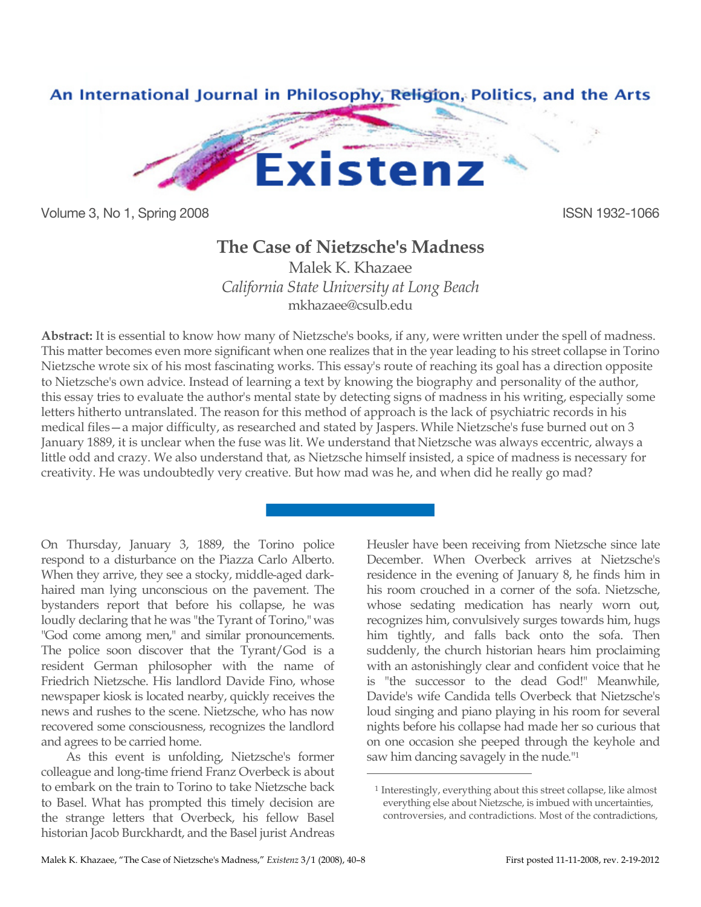

Volume 3, No 1, Spring 2008 **ISSN 1932-1066** 

## **The Case of Nietzsche's Madness**

Malek K. Khazaee *California State University at Long Beach* mkhazaee@csulb.edu

**Abstract:** It is essential to know how many of Nietzsche's books, if any, were written under the spell of madness. This matter becomes even more significant when one realizes that in the year leading to his street collapse in Torino Nietzsche wrote six of his most fascinating works. This essay's route of reaching its goal has a direction opposite to Nietzsche's own advice. Instead of learning a text by knowing the biography and personality of the author, this essay tries to evaluate the author's mental state by detecting signs of madness in his writing, especially some letters hitherto untranslated. The reason for this method of approach is the lack of psychiatric records in his medical files—a major difficulty, as researched and stated by Jaspers. While Nietzsche's fuse burned out on 3 January 1889, it is unclear when the fuse was lit. We understand that Nietzsche was always eccentric, always a little odd and crazy. We also understand that, as Nietzsche himself insisted, a spice of madness is necessary for creativity. He was undoubtedly very creative. But how mad was he, and when did he really go mad?

 $\overline{a}$ 

On Thursday, January 3, 1889, the Torino police respond to a disturbance on the Piazza Carlo Alberto. When they arrive, they see a stocky, middle-aged darkhaired man lying unconscious on the pavement. The bystanders report that before his collapse, he was loudly declaring that he was "the Tyrant of Torino," was "God come among men," and similar pronouncements. The police soon discover that the Tyrant/God is a resident German philosopher with the name of Friedrich Nietzsche. His landlord Davide Fino, whose newspaper kiosk is located nearby, quickly receives the news and rushes to the scene. Nietzsche, who has now recovered some consciousness, recognizes the landlord and agrees to be carried home.

As this event is unfolding, Nietzsche's former colleague and long-time friend Franz Overbeck is about to embark on the train to Torino to take Nietzsche back to Basel. What has prompted this timely decision are the strange letters that Overbeck, his fellow Basel historian Jacob Burckhardt, and the Basel jurist Andreas Heusler have been receiving from Nietzsche since late December. When Overbeck arrives at Nietzsche's residence in the evening of January 8, he finds him in his room crouched in a corner of the sofa. Nietzsche, whose sedating medication has nearly worn out, recognizes him, convulsively surges towards him, hugs him tightly, and falls back onto the sofa. Then suddenly, the church historian hears him proclaiming with an astonishingly clear and confident voice that he is "the successor to the dead God!" Meanwhile, Davide's wife Candida tells Overbeck that Nietzsche's loud singing and piano playing in his room for several nights before his collapse had made her so curious that on one occasion she peeped through the keyhole and saw him dancing savagely in the nude."1

<sup>1</sup> Interestingly, everything about this street collapse, like almost everything else about Nietzsche, is imbued with uncertainties, controversies, and contradictions. Most of the contradictions,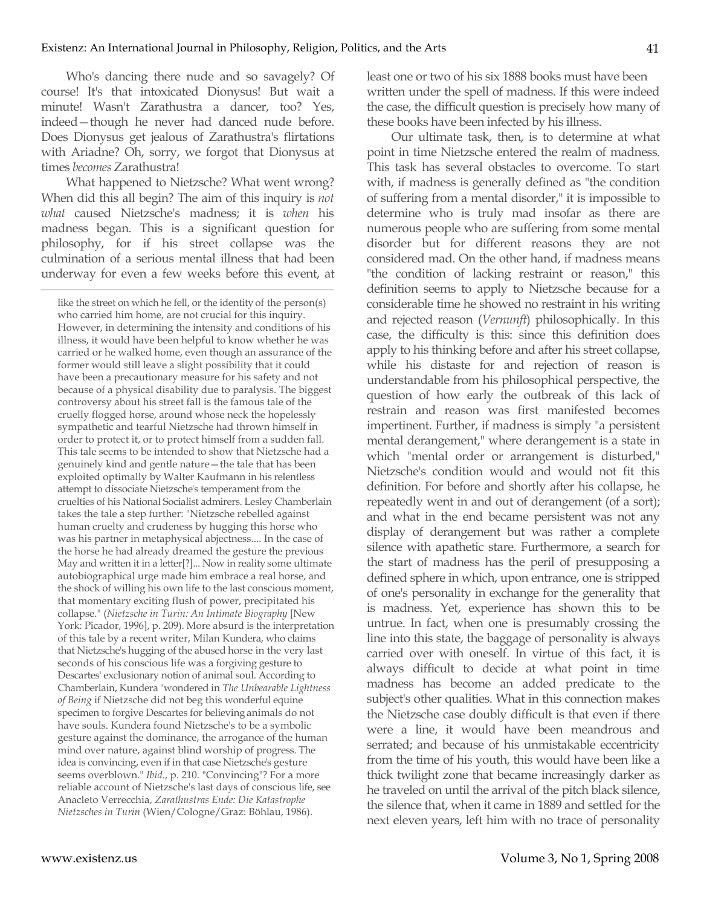Who's dancing there nude and so savagely? Of course! It's that intoxicated Dionysus! But wait a minute! Wasn't Zarathustra a dancer, too? Yes, indeed—though he never had danced nude before. Does Dionysus get jealous of Zarathustra's flirtations with Ariadne? Oh, sorry, we forgot that Dionysus at times *becomes* Zarathustra!

What happened to Nietzsche? What went wrong? When did this all begin? The aim of this inquiry is *not what* caused Nietzsche's madness; it is *when* his madness began. This is a significant question for philosophy, for if his street collapse was the culmination of a serious mental illness that had been underway for even a few weeks before this event, at  $\overline{a}$ 

like the street on which he fell, or the identity of the person(s) who carried him home, are not crucial for this inquiry. However, in determining the intensity and conditions of his illness, it would have been helpful to know whether he was carried or he walked home, even though an assurance of the former would still leave a slight possibility that it could have been a precautionary measure for his safety and not because of a physical disability due to paralysis. The biggest controversy about his street fall is the famous tale of the cruelly flogged horse, around whose neck the hopelessly sympathetic and tearful Nietzsche had thrown himself in order to protect it, or to protect himself from a sudden fall. This tale seems to be intended to show that Nietzsche had a genuinely kind and gentle nature—the tale that has been exploited optimally by Walter Kaufmann in his relentless attempt to dissociate Nietzsche's temperament from the cruelties of his National Socialist admirers. Lesley Chamberlain takes the tale a step further: "Nietzsche rebelled against human cruelty and crudeness by hugging this horse who was his partner in metaphysical abjectness.... In the case of the horse he had already dreamed the gesture the previous May and written it in a letter[?]... Now in reality some ultimate autobiographical urge made him embrace a real horse, and the shock of willing his own life to the last conscious moment, that momentary exciting flush of power, precipitated his collapse." (*Nietzsche in Turin: An Intimate Biography* [New York: Picador, 1996], p. 209). More absurd is the interpretation of this tale by a recent writer, Milan Kundera, who claims that Nietzsche's hugging of the abused horse in the very last seconds of his conscious life was a forgiving gesture to Descartes' exclusionary notion of animal soul. According to Chamberlain, Kundera "wondered in *The Unbearable Lightness of Being* if Nietzsche did not beg this wonderful equine specimen to forgive Descartes for believing animals do not have souls. Kundera found Nietzsche's to be a symbolic gesture against the dominance, the arrogance of the human mind over nature, against blind worship of progress. The idea is convincing, even if in that case Nietzsche's gesture seems overblown." *Ibid.*, p. 210. "Convincing"? For a more reliable account of Nietzsche's last days of conscious life, see Anacleto Verrecchia, *Zarathustras Ende: Die Katastrophe Nietzsches in Turin* (Wien/Cologne/Graz: Böhlau, 1986).

least one or two of his six 1888 books must have been written under the spell of madness. If this were indeed the case, the difficult question is precisely how many of these books have been infected by his illness.

Our ultimate task, then, is to determine at what point in time Nietzsche entered the realm of madness. This task has several obstacles to overcome. To start with, if madness is generally defined as "the condition of suffering from a mental disorder," it is impossible to determine who is truly mad insofar as there are numerous people who are suffering from some mental disorder but for different reasons they are not considered mad. On the other hand, if madness means "the condition of lacking restraint or reason," this definition seems to apply to Nietzsche because for a considerable time he showed no restraint in his writing and rejected reason (*Vernunft*) philosophically. In this case, the difficulty is this: since this definition does apply to his thinking before and after his street collapse, while his distaste for and rejection of reason is understandable from his philosophical perspective, the question of how early the outbreak of this lack of restrain and reason was first manifested becomes impertinent. Further, if madness is simply "a persistent mental derangement," where derangement is a state in which "mental order or arrangement is disturbed," Nietzsche's condition would and would not fit this definition. For before and shortly after his collapse, he repeatedly went in and out of derangement (of a sort); and what in the end became persistent was not any display of derangement but was rather a complete silence with apathetic stare. Furthermore, a search for the start of madness has the peril of presupposing a defined sphere in which, upon entrance, one is stripped of one's personality in exchange for the generality that is madness. Yet, experience has shown this to be untrue. In fact, when one is presumably crossing the line into this state, the baggage of personality is always carried over with oneself. In virtue of this fact, it is always difficult to decide at what point in time madness has become an added predicate to the subject's other qualities. What in this connection makes the Nietzsche case doubly difficult is that even if there were a line, it would have been meandrous and serrated; and because of his unmistakable eccentricity from the time of his youth, this would have been like a thick twilight zone that became increasingly darker as he traveled on until the arrival of the pitch black silence, the silence that, when it came in 1889 and settled for the next eleven years, left him with no trace of personality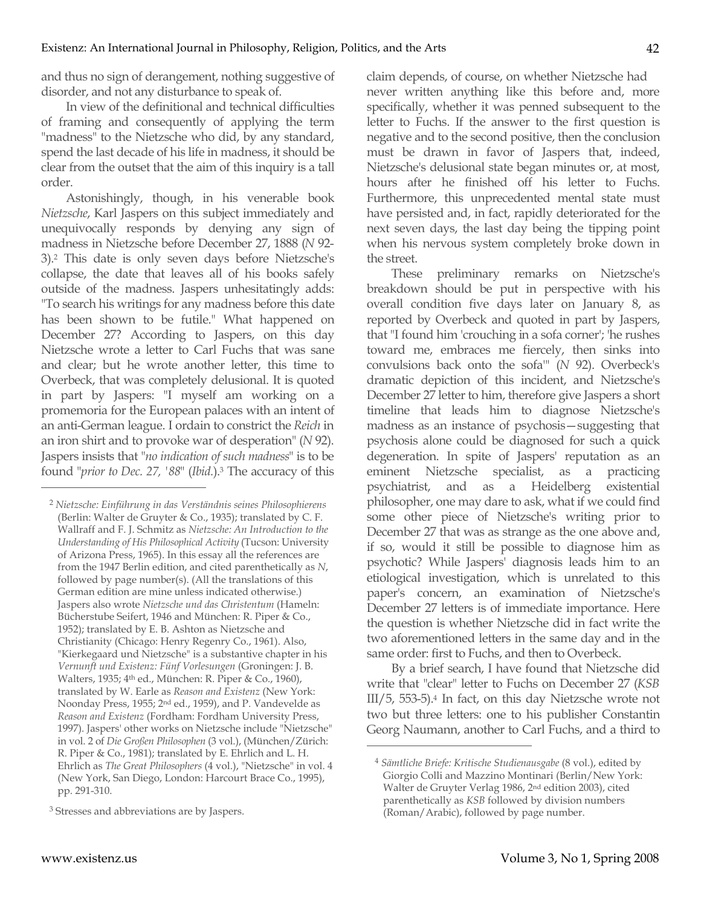and thus no sign of derangement, nothing suggestive of disorder, and not any disturbance to speak of.

In view of the definitional and technical difficulties of framing and consequently of applying the term "madness" to the Nietzsche who did, by any standard, spend the last decade of his life in madness, it should be clear from the outset that the aim of this inquiry is a tall order.

Astonishingly, though, in his venerable book *Nietzsche*, Karl Jaspers on this subject immediately and unequivocally responds by denying any sign of madness in Nietzsche before December 27, 1888 (*N* 92- 3).2 This date is only seven days before Nietzsche's collapse, the date that leaves all of his books safely outside of the madness. Jaspers unhesitatingly adds: "To search his writings for any madness before this date has been shown to be futile." What happened on December 27? According to Jaspers, on this day Nietzsche wrote a letter to Carl Fuchs that was sane and clear; but he wrote another letter, this time to Overbeck, that was completely delusional. It is quoted in part by Jaspers: "I myself am working on a promemoria for the European palaces with an intent of an anti-German league. I ordain to constrict the *Reich* in an iron shirt and to provoke war of desperation" (*N* 92). Jaspers insists that "*no indication of such madness*" is to be found "*prior to Dec. 27, '88*" (*Ibid.*).3 The accuracy of this claim depends, of course, on whether Nietzsche had never written anything like this before and, more specifically, whether it was penned subsequent to the letter to Fuchs. If the answer to the first question is negative and to the second positive, then the conclusion must be drawn in favor of Jaspers that, indeed, Nietzsche's delusional state began minutes or, at most, hours after he finished off his letter to Fuchs. Furthermore, this unprecedented mental state must have persisted and, in fact, rapidly deteriorated for the next seven days, the last day being the tipping point when his nervous system completely broke down in the street.

These preliminary remarks on Nietzsche's breakdown should be put in perspective with his overall condition five days later on January 8, as reported by Overbeck and quoted in part by Jaspers, that "I found him 'crouching in a sofa corner'; 'he rushes toward me, embraces me fiercely, then sinks into convulsions back onto the sofa'" (*N* 92). Overbeck's dramatic depiction of this incident, and Nietzsche's December 27 letter to him, therefore give Jaspers a short timeline that leads him to diagnose Nietzsche's madness as an instance of psychosis—suggesting that psychosis alone could be diagnosed for such a quick degeneration. In spite of Jaspers' reputation as an eminent Nietzsche specialist, as a practicing psychiatrist, and as a Heidelberg existential philosopher, one may dare to ask, what if we could find some other piece of Nietzsche's writing prior to December 27 that was as strange as the one above and, if so, would it still be possible to diagnose him as psychotic? While Jaspers' diagnosis leads him to an etiological investigation, which is unrelated to this paper's concern, an examination of Nietzsche's December 27 letters is of immediate importance. Here the question is whether Nietzsche did in fact write the two aforementioned letters in the same day and in the same order: first to Fuchs, and then to Overbeck.

By a brief search, I have found that Nietzsche did write that "clear" letter to Fuchs on December 27 (*KSB*  III/5, 553-5).4 In fact, on this day Nietzsche wrote not two but three letters: one to his publisher Constantin Georg Naumann, another to Carl Fuchs, and a third to

 $\overline{a}$ 

<sup>2</sup> *Nietzsche: Einführung in das Verständnis seines Philosophierens* (Berlin: Walter de Gruyter & Co., 1935); translated by C. F. Wallraff and F. J. Schmitz as *Nietzsche: An Introduction to the Understanding of His Philosophical Activity* (Tucson: University of Arizona Press, 1965). In this essay all the references are from the 1947 Berlin edition, and cited parenthetically as *N*, followed by page number(s). (All the translations of this German edition are mine unless indicated otherwise.) Jaspers also wrote *Nietzsche und das Christentum* (Hameln: Bücherstube Seifert, 1946 and München: R. Piper & Co., 1952); translated by E. B. Ashton as Nietzsche and Christianity (Chicago: Henry Regenry Co., 1961). Also, "Kierkegaard und Nietzsche" is a substantive chapter in his *Vernunft und Existenz: Fünf Vorlesungen* (Groningen: J. B. Walters, 1935; 4th ed., München: R. Piper & Co., 1960), translated by W. Earle as *Reason and Existenz* (New York: Noonday Press, 1955; 2nd ed., 1959), and P. Vandevelde as *Reason and Existenz* (Fordham: Fordham University Press, 1997). Jaspers' other works on Nietzsche include "Nietzsche" in vol. 2 of *Die Großen Philosophen* (3 vol.), (München/Zürich: R. Piper & Co., 1981); translated by E. Ehrlich and L. H. Ehrlich as *The Great Philosophers* (4 vol.), "Nietzsche" in vol. 4 (New York, San Diego, London: Harcourt Brace Co., 1995), pp. 291-310.

<sup>3</sup> Stresses and abbreviations are by Jaspers.

<sup>4</sup> *Sämtliche Briefe: Kritische Studienausgabe* (8 vol.), edited by Giorgio Colli and Mazzino Montinari (Berlin/New York: Walter de Gruyter Verlag 1986, 2nd edition 2003), cited parenthetically as *KSB* followed by division numbers (Roman/Arabic), followed by page number.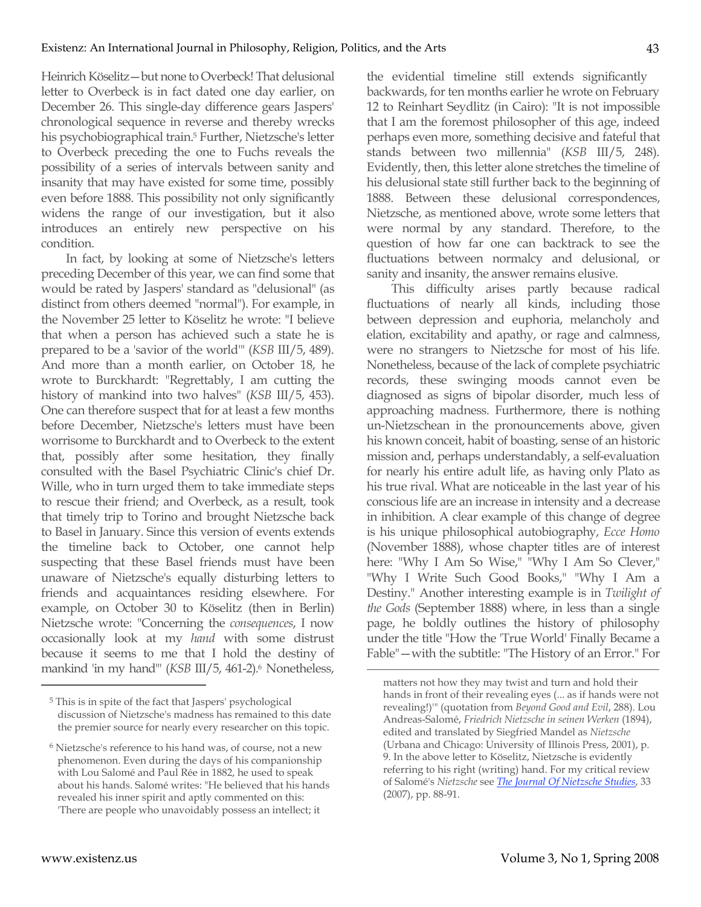Heinrich Köselitz—but none to Overbeck! That delusional letter to Overbeck is in fact dated one day earlier, on December 26. This single-day difference gears Jaspers' chronological sequence in reverse and thereby wrecks his psychobiographical train.5 Further, Nietzsche's letter to Overbeck preceding the one to Fuchs reveals the possibility of a series of intervals between sanity and insanity that may have existed for some time, possibly even before 1888. This possibility not only significantly widens the range of our investigation, but it also introduces an entirely new perspective on his condition.

In fact, by looking at some of Nietzsche's letters preceding December of this year, we can find some that would be rated by Jaspers' standard as "delusional" (as distinct from others deemed "normal"). For example, in the November 25 letter to Köselitz he wrote: "I believe that when a person has achieved such a state he is prepared to be a 'savior of the world'" (*KSB* III/5, 489). And more than a month earlier, on October 18, he wrote to Burckhardt: "Regrettably, I am cutting the history of mankind into two halves" (*KSB* III/5, 453). One can therefore suspect that for at least a few months before December, Nietzsche's letters must have been worrisome to Burckhardt and to Overbeck to the extent that, possibly after some hesitation, they finally consulted with the Basel Psychiatric Clinic's chief Dr. Wille, who in turn urged them to take immediate steps to rescue their friend; and Overbeck, as a result, took that timely trip to Torino and brought Nietzsche back to Basel in January. Since this version of events extends the timeline back to October, one cannot help suspecting that these Basel friends must have been unaware of Nietzsche's equally disturbing letters to friends and acquaintances residing elsewhere. For example, on October 30 to Köselitz (then in Berlin) Nietzsche wrote: "Concerning the *consequences*, I now occasionally look at my *hand* with some distrust because it seems to me that I hold the destiny of mankind 'in my hand'" (*KSB III*/5, 461-2).<sup>6</sup> Nonetheless,

the evidential timeline still extends significantly backwards, for ten months earlier he wrote on February 12 to Reinhart Seydlitz (in Cairo): "It is not impossible that I am the foremost philosopher of this age, indeed perhaps even more, something decisive and fateful that stands between two millennia" (*KSB* III/5, 248). Evidently, then, this letter alone stretches the timeline of his delusional state still further back to the beginning of 1888. Between these delusional correspondences, Nietzsche, as mentioned above, wrote some letters that were normal by any standard. Therefore, to the question of how far one can backtrack to see the fluctuations between normalcy and delusional, or sanity and insanity, the answer remains elusive.

This difficulty arises partly because radical fluctuations of nearly all kinds, including those between depression and euphoria, melancholy and elation, excitability and apathy, or rage and calmness, were no strangers to Nietzsche for most of his life. Nonetheless, because of the lack of complete psychiatric records, these swinging moods cannot even be diagnosed as signs of bipolar disorder, much less of approaching madness. Furthermore, there is nothing un-Nietzschean in the pronouncements above, given his known conceit, habit of boasting, sense of an historic mission and, perhaps understandably, a self-evaluation for nearly his entire adult life, as having only Plato as his true rival. What are noticeable in the last year of his conscious life are an increase in intensity and a decrease in inhibition. A clear example of this change of degree is his unique philosophical autobiography, *Ecce Homo*  (November 1888), whose chapter titles are of interest here: "Why I Am So Wise," "Why I Am So Clever," "Why I Write Such Good Books," "Why I Am a Destiny." Another interesting example is in *Twilight of the Gods* (September 1888) where, in less than a single page, he boldly outlines the history of philosophy under the title "How the 'True World' Finally Became a Fable"—with the subtitle: "The History of an Error." For

 $\overline{a}$ 

<sup>5</sup> This is in spite of the fact that Jaspers' psychological discussion of Nietzsche's madness has remained to this date the premier source for nearly every researcher on this topic.

<sup>6</sup> Nietzsche's reference to his hand was, of course, not a new phenomenon. Even during the days of his companionship with Lou Salomé and Paul Rée in 1882, he used to speak about his hands. Salomé writes: "He believed that his hands revealed his inner spirit and aptly commented on this: 'There are people who unavoidably possess an intellect; it

matters not how they may twist and turn and hold their hands in front of their revealing eyes (... as if hands were not revealing!)'" (quotation from *Beyond Good and Evil*, 288). Lou Andreas-Salomé, *Friedrich Nietzsche in seinen Werken* (1894), edited and translated by Siegfried Mandel as *Nietzsche*  (Urbana and Chicago: University of Illinois Press, 2001), p. 9. In the above letter to Köselitz, Nietzsche is evidently referring to his right (writing) hand. For my critical review of Salomé's *Nietzsche* see *The Journal Of Nietzsche Studies*, 33 (2007), pp. 88-91.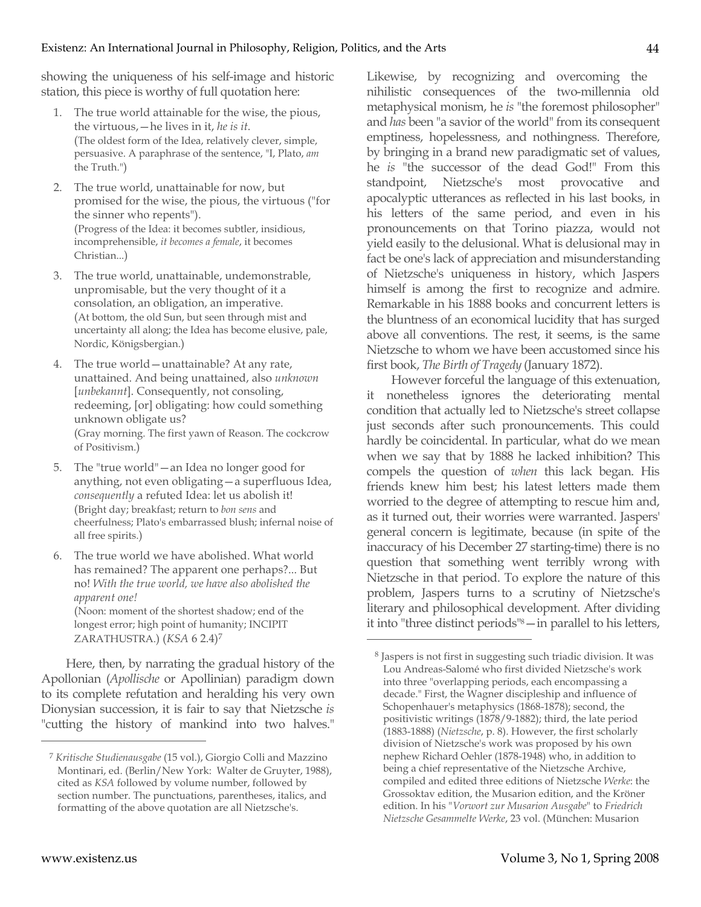showing the uniqueness of his self-image and historic station, this piece is worthy of full quotation here:

- 1. The true world attainable for the wise, the pious, the virtuous,—he lives in it, *he is it*. (The oldest form of the Idea, relatively clever, simple, persuasive. A paraphrase of the sentence, "I, Plato, *am*  the Truth.")
- 2. The true world, unattainable for now, but promised for the wise, the pious, the virtuous ("for the sinner who repents"). (Progress of the Idea: it becomes subtler, insidious, incomprehensible, *it becomes a female*, it becomes Christian...)
- 3. The true world, unattainable, undemonstrable, unpromisable, but the very thought of it a consolation, an obligation, an imperative. (At bottom, the old Sun, but seen through mist and uncertainty all along; the Idea has become elusive, pale, Nordic, Königsbergian.)
- 4. The true world—unattainable? At any rate, unattained. And being unattained, also *unknown*  [*unbekannt*]. Consequently, not consoling, redeeming, [or] obligating: how could something unknown obligate us? (Gray morning. The first yawn of Reason. The cockcrow of Positivism.)
- 5. The "true world"—an Idea no longer good for anything, not even obligating—a superfluous Idea, *consequently* a refuted Idea: let us abolish it! (Bright day; breakfast; return to *bon sens* and cheerfulness; Plato's embarrassed blush; infernal noise of all free spirits.)
- 6. The true world we have abolished. What world has remained? The apparent one perhaps?... But no! *With the true world, we have also abolished the apparent one!* (Noon: moment of the shortest shadow; end of the longest error; high point of humanity; INCIPIT ZARATHUSTRA.) (*KSA* 6 2.4)7

Here, then, by narrating the gradual history of the Apollonian (*Apollische* or Apollinian) paradigm down to its complete refutation and heralding his very own Dionysian succession, it is fair to say that Nietzsche *is*  "cutting the history of mankind into two halves."

Likewise, by recognizing and overcoming the nihilistic consequences of the two-millennia old metaphysical monism, he *is* "the foremost philosopher" and *has* been "a savior of the world" from its consequent emptiness, hopelessness, and nothingness. Therefore, by bringing in a brand new paradigmatic set of values, he *is* "the successor of the dead God!" From this standpoint, Nietzsche's most provocative and apocalyptic utterances as reflected in his last books, in his letters of the same period, and even in his pronouncements on that Torino piazza, would not yield easily to the delusional. What is delusional may in fact be one's lack of appreciation and misunderstanding of Nietzsche's uniqueness in history, which Jaspers himself is among the first to recognize and admire. Remarkable in his 1888 books and concurrent letters is the bluntness of an economical lucidity that has surged above all conventions. The rest, it seems, is the same Nietzsche to whom we have been accustomed since his first book, *The Birth of Tragedy* (January 1872).

However forceful the language of this extenuation, it nonetheless ignores the deteriorating mental condition that actually led to Nietzsche's street collapse just seconds after such pronouncements. This could hardly be coincidental. In particular, what do we mean when we say that by 1888 he lacked inhibition? This compels the question of *when* this lack began. His friends knew him best; his latest letters made them worried to the degree of attempting to rescue him and, as it turned out, their worries were warranted. Jaspers' general concern is legitimate, because (in spite of the inaccuracy of his December 27 starting-time) there is no question that something went terribly wrong with Nietzsche in that period. To explore the nature of this problem, Jaspers turns to a scrutiny of Nietzsche's literary and philosophical development. After dividing it into "three distinct periods"8—in parallel to his letters,

 $\overline{a}$ 

<sup>7</sup> *Kritische Studienausgabe* (15 vol.), Giorgio Colli and Mazzino Montinari, ed. (Berlin/New York: Walter de Gruyter, 1988), cited as *KSA* followed by volume number, followed by section number. The punctuations, parentheses, italics, and formatting of the above quotation are all Nietzsche's.

<sup>8</sup> Jaspers is not first in suggesting such triadic division. It was Lou Andreas-Salomé who first divided Nietzsche's work into three "overlapping periods, each encompassing a decade." First, the Wagner discipleship and influence of Schopenhauer's metaphysics (1868-1878); second, the positivistic writings (1878/9-1882); third, the late period (1883-1888) (*Nietzsche*, p. 8). However, the first scholarly division of Nietzsche's work was proposed by his own nephew Richard Oehler (1878-1948) who, in addition to being a chief representative of the Nietzsche Archive, compiled and edited three editions of Nietzsche *Werke*: the Grossoktav edition, the Musarion edition, and the Kröner edition. In his "*Vorwort zur Musarion Ausgabe*" to *Friedrich Nietzsche Gesammelte Werke*, 23 vol. (München: Musarion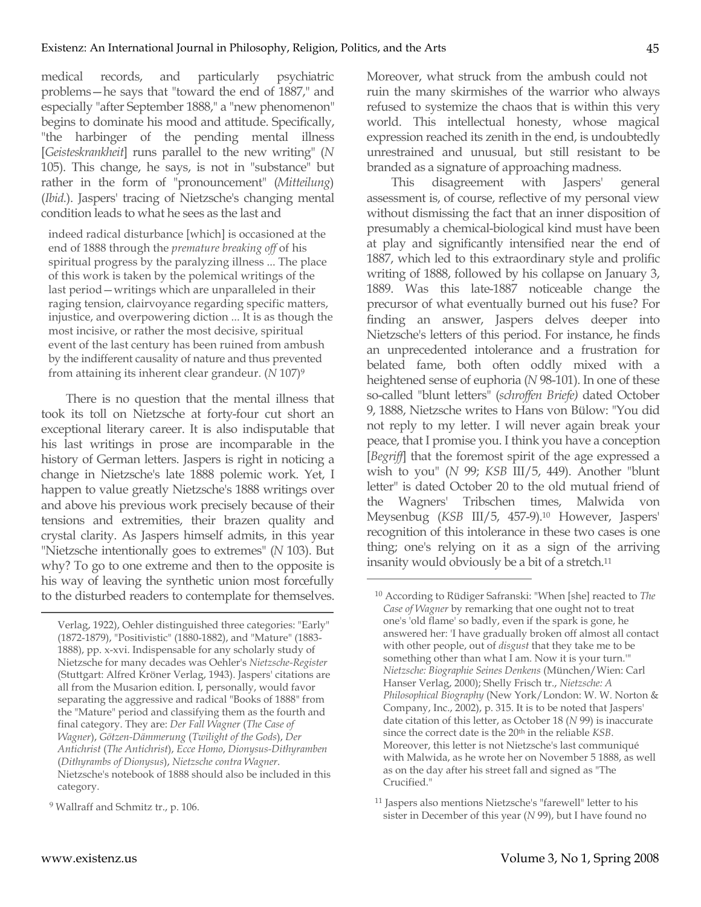medical records, and particularly psychiatric problems—he says that "toward the end of 1887," and especially "after September 1888," a "new phenomenon" begins to dominate his mood and attitude. Specifically, "the harbinger of the pending mental illness [*Geisteskrankheit*] runs parallel to the new writing" (*N*  105). This change, he says, is not in "substance" but rather in the form of "pronouncement" (*Mitteilung*) (*Ibid.*). Jaspers' tracing of Nietzsche's changing mental condition leads to what he sees as the last and

indeed radical disturbance [which] is occasioned at the end of 1888 through the *premature breaking off* of his spiritual progress by the paralyzing illness ... The place of this work is taken by the polemical writings of the last period—writings which are unparalleled in their raging tension, clairvoyance regarding specific matters, injustice, and overpowering diction ... It is as though the most incisive, or rather the most decisive, spiritual event of the last century has been ruined from ambush by the indifferent causality of nature and thus prevented from attaining its inherent clear grandeur. (*N* 107)9

There is no question that the mental illness that took its toll on Nietzsche at forty-four cut short an exceptional literary career. It is also indisputable that his last writings in prose are incomparable in the history of German letters. Jaspers is right in noticing a change in Nietzsche's late 1888 polemic work. Yet, I happen to value greatly Nietzsche's 1888 writings over and above his previous work precisely because of their tensions and extremities, their brazen quality and crystal clarity. As Jaspers himself admits, in this year "Nietzsche intentionally goes to extremes" (*N* 103). But why? To go to one extreme and then to the opposite is his way of leaving the synthetic union most forcefully to the disturbed readers to contemplate for themselves. Moreover, what struck from the ambush could not ruin the many skirmishes of the warrior who always refused to systemize the chaos that is within this very world. This intellectual honesty, whose magical expression reached its zenith in the end, is undoubtedly unrestrained and unusual, but still resistant to be branded as a signature of approaching madness.

This disagreement with Jaspers' general assessment is, of course, reflective of my personal view without dismissing the fact that an inner disposition of presumably a chemical-biological kind must have been at play and significantly intensified near the end of 1887, which led to this extraordinary style and prolific writing of 1888, followed by his collapse on January 3, 1889. Was this late-1887 noticeable change the precursor of what eventually burned out his fuse? For finding an answer, Jaspers delves deeper into Nietzsche's letters of this period. For instance, he finds an unprecedented intolerance and a frustration for belated fame, both often oddly mixed with a heightened sense of euphoria (*N* 98-101). In one of these so-called "blunt letters" (*schroffen Briefe)* dated October 9, 1888, Nietzsche writes to Hans von Bülow: "You did not reply to my letter. I will never again break your peace, that I promise you. I think you have a conception [*Begriff*] that the foremost spirit of the age expressed a wish to you" (*N* 99; *KSB* III/5, 449). Another "blunt letter" is dated October 20 to the old mutual friend of the Wagners' Tribschen times, Malwida von Meysenbug (*KSB* III/5, 457-9).10 However, Jaspers' recognition of this intolerance in these two cases is one thing; one's relying on it as a sign of the arriving insanity would obviously be a bit of a stretch.11  $\overline{a}$ 

Verlag, 1922), Oehler distinguished three categories: "Early" (1872-1879), "Positivistic" (1880-1882), and "Mature" (1883- 1888), pp. x-xvi. Indispensable for any scholarly study of Nietzsche for many decades was Oehler's *Nietzsche-Register*  (Stuttgart: Alfred Kröner Verlag, 1943). Jaspers' citations are all from the Musarion edition. I, personally, would favor separating the aggressive and radical "Books of 1888" from the "Mature" period and classifying them as the fourth and final category. They are: *Der Fall Wagner* (*The Case of Wagner*), *Götzen-Dämmerung* (*Twilight of the Gods*), *Der Antichrist* (*The Antichrist*), *Ecce Homo*, *Dionysus-Dithyramben*  (*Dithyrambs of Dionysus*), *Nietzsche contra Wagner*. Nietzsche's notebook of 1888 should also be included in this category.

<sup>9</sup> Wallraff and Schmitz tr., p. 106.

<sup>10</sup> According to Rüdiger Safranski: "When [she] reacted to *The Case of Wagner* by remarking that one ought not to treat one's 'old flame' so badly, even if the spark is gone, he answered her: 'I have gradually broken off almost all contact with other people, out of *disgust* that they take me to be something other than what I am. Now it is your turn.'" *Nietzsche: Biographie Seines Denkens* (München/Wien: Carl Hanser Verlag, 2000); Shelly Frisch tr., *Nietzsche: A Philosophical Biography* (New York/London: W. W. Norton & Company, Inc., 2002), p. 315. It is to be noted that Jaspers' date citation of this letter, as October 18 (*N* 99) is inaccurate since the correct date is the 20th in the reliable *KSB*. Moreover, this letter is not Nietzsche's last communiqué with Malwida, as he wrote her on November 5 1888, as well as on the day after his street fall and signed as "The Crucified."

<sup>11</sup> Jaspers also mentions Nietzsche's "farewell" letter to his sister in December of this year (*N* 99), but I have found no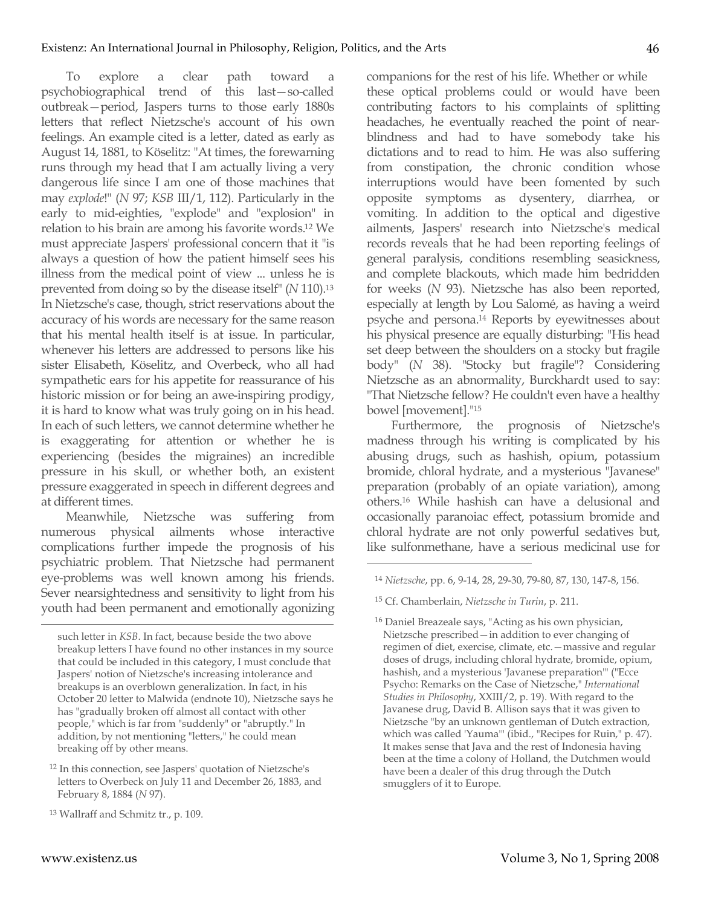To explore a clear path toward a psychobiographical trend of this last—so-called outbreak—period, Jaspers turns to those early 1880s letters that reflect Nietzsche's account of his own feelings. An example cited is a letter, dated as early as August 14, 1881, to Köselitz: "At times, the forewarning runs through my head that I am actually living a very dangerous life since I am one of those machines that may *explode*!" (*N* 97; *KSB* III/1, 112). Particularly in the early to mid-eighties, "explode" and "explosion" in relation to his brain are among his favorite words.12 We must appreciate Jaspers' professional concern that it "is always a question of how the patient himself sees his illness from the medical point of view ... unless he is prevented from doing so by the disease itself" (*N* 110).13 In Nietzsche's case, though, strict reservations about the accuracy of his words are necessary for the same reason that his mental health itself is at issue. In particular, whenever his letters are addressed to persons like his sister Elisabeth, Köselitz, and Overbeck, who all had sympathetic ears for his appetite for reassurance of his historic mission or for being an awe-inspiring prodigy, it is hard to know what was truly going on in his head. In each of such letters, we cannot determine whether he is exaggerating for attention or whether he is experiencing (besides the migraines) an incredible pressure in his skull, or whether both, an existent pressure exaggerated in speech in different degrees and at different times.

Meanwhile, Nietzsche was suffering from numerous physical ailments whose interactive complications further impede the prognosis of his psychiatric problem. That Nietzsche had permanent eye-problems was well known among his friends. Sever nearsightedness and sensitivity to light from his youth had been permanent and emotionally agonizing companions for the rest of his life. Whether or while these optical problems could or would have been contributing factors to his complaints of splitting headaches, he eventually reached the point of nearblindness and had to have somebody take his dictations and to read to him. He was also suffering from constipation, the chronic condition whose interruptions would have been fomented by such opposite symptoms as dysentery, diarrhea, or vomiting. In addition to the optical and digestive ailments, Jaspers' research into Nietzsche's medical records reveals that he had been reporting feelings of general paralysis, conditions resembling seasickness, and complete blackouts, which made him bedridden for weeks (*N* 93). Nietzsche has also been reported, especially at length by Lou Salomé, as having a weird psyche and persona.14 Reports by eyewitnesses about his physical presence are equally disturbing: "His head set deep between the shoulders on a stocky but fragile body" (*N* 38). "Stocky but fragile"? Considering Nietzsche as an abnormality, Burckhardt used to say: "That Nietzsche fellow? He couldn't even have a healthy bowel [movement]."15

Furthermore, the prognosis of Nietzsche's madness through his writing is complicated by his abusing drugs, such as hashish, opium, potassium bromide, chloral hydrate, and a mysterious "Javanese" preparation (probably of an opiate variation), among others.16 While hashish can have a delusional and occasionally paranoiac effect, potassium bromide and chloral hydrate are not only powerful sedatives but, like sulfonmethane, have a serious medicinal use for

 $\overline{a}$ 

such letter in *KSB*. In fact, because beside the two above breakup letters I have found no other instances in my source that could be included in this category, I must conclude that Jaspers' notion of Nietzsche's increasing intolerance and breakups is an overblown generalization. In fact, in his October 20 letter to Malwida (endnote 10), Nietzsche says he has "gradually broken off almost all contact with other people," which is far from "suddenly" or "abruptly." In addition, by not mentioning "letters," he could mean breaking off by other means.

<sup>12</sup> In this connection, see Jaspers' quotation of Nietzsche's letters to Overbeck on July 11 and December 26, 1883, and February 8, 1884 (*N* 97).

<sup>13</sup> Wallraff and Schmitz tr., p. 109.

<sup>14</sup> *Nietzsche*, pp. 6, 9-14, 28, 29-30, 79-80, 87, 130, 147-8, 156.

<sup>15</sup> Cf. Chamberlain, *Nietzsche in Turin*, p. 211.

<sup>16</sup> Daniel Breazeale says, "Acting as his own physician, Nietzsche prescribed—in addition to ever changing of regimen of diet, exercise, climate, etc.—massive and regular doses of drugs, including chloral hydrate, bromide, opium, hashish, and a mysterious 'Javanese preparation'" ("Ecce Psycho: Remarks on the Case of Nietzsche," *International Studies in Philosophy*, XXIII/2, p. 19). With regard to the Javanese drug, David B. Allison says that it was given to Nietzsche "by an unknown gentleman of Dutch extraction, which was called 'Yauma'" (ibid., "Recipes for Ruin," p. 47). It makes sense that Java and the rest of Indonesia having been at the time a colony of Holland, the Dutchmen would have been a dealer of this drug through the Dutch smugglers of it to Europe.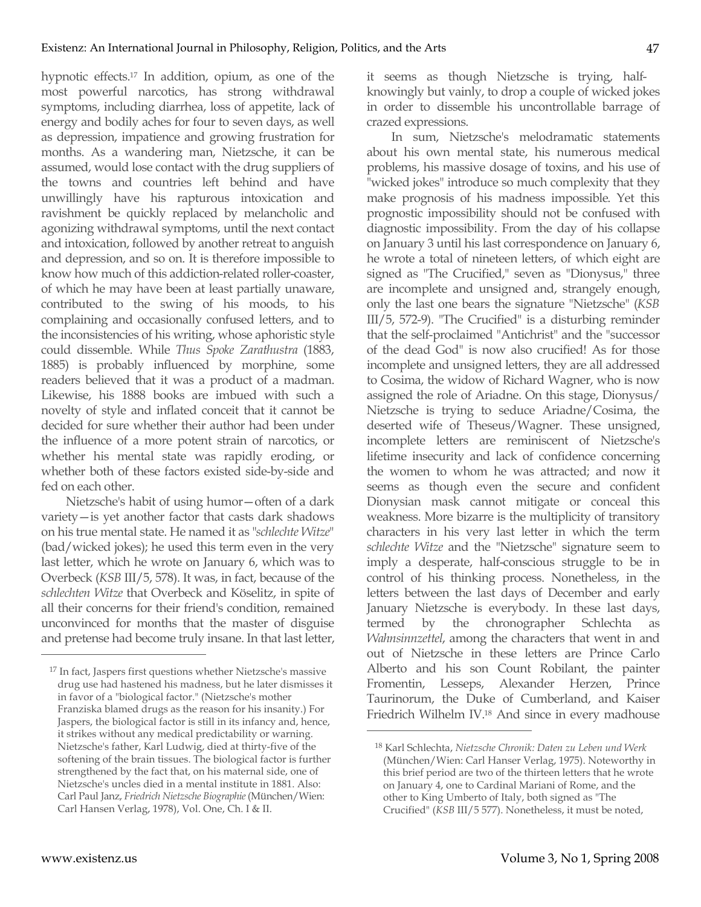hypnotic effects.17 In addition, opium, as one of the most powerful narcotics, has strong withdrawal symptoms, including diarrhea, loss of appetite, lack of energy and bodily aches for four to seven days, as well as depression, impatience and growing frustration for months. As a wandering man, Nietzsche, it can be assumed, would lose contact with the drug suppliers of the towns and countries left behind and have unwillingly have his rapturous intoxication and ravishment be quickly replaced by melancholic and agonizing withdrawal symptoms, until the next contact and intoxication, followed by another retreat to anguish and depression, and so on. It is therefore impossible to know how much of this addiction-related roller-coaster, of which he may have been at least partially unaware, contributed to the swing of his moods, to his complaining and occasionally confused letters, and to the inconsistencies of his writing, whose aphoristic style could dissemble. While *Thus Spoke Zarathustra* (1883, 1885) is probably influenced by morphine, some readers believed that it was a product of a madman. Likewise, his 1888 books are imbued with such a novelty of style and inflated conceit that it cannot be decided for sure whether their author had been under the influence of a more potent strain of narcotics, or whether his mental state was rapidly eroding, or whether both of these factors existed side-by-side and fed on each other.

Nietzsche's habit of using humor—often of a dark variety—is yet another factor that casts dark shadows on his true mental state. He named it as "*schlechte Witze*" (bad/wicked jokes); he used this term even in the very last letter, which he wrote on January 6, which was to Overbeck (*KSB* III/5, 578). It was, in fact, because of the *schlechten Witze* that Overbeck and Köselitz, in spite of all their concerns for their friend's condition, remained unconvinced for months that the master of disguise and pretense had become truly insane. In that last letter, it seems as though Nietzsche is trying, halfknowingly but vainly, to drop a couple of wicked jokes in order to dissemble his uncontrollable barrage of crazed expressions.

In sum, Nietzsche's melodramatic statements about his own mental state, his numerous medical problems, his massive dosage of toxins, and his use of "wicked jokes" introduce so much complexity that they make prognosis of his madness impossible. Yet this prognostic impossibility should not be confused with diagnostic impossibility. From the day of his collapse on January 3 until his last correspondence on January 6, he wrote a total of nineteen letters, of which eight are signed as "The Crucified," seven as "Dionysus," three are incomplete and unsigned and, strangely enough, only the last one bears the signature "Nietzsche" (*KSB*  III/5, 572-9). "The Crucified" is a disturbing reminder that the self-proclaimed "Antichrist" and the "successor of the dead God" is now also crucified! As for those incomplete and unsigned letters, they are all addressed to Cosima, the widow of Richard Wagner, who is now assigned the role of Ariadne. On this stage, Dionysus/ Nietzsche is trying to seduce Ariadne/Cosima, the deserted wife of Theseus/Wagner. These unsigned, incomplete letters are reminiscent of Nietzsche's lifetime insecurity and lack of confidence concerning the women to whom he was attracted; and now it seems as though even the secure and confident Dionysian mask cannot mitigate or conceal this weakness. More bizarre is the multiplicity of transitory characters in his very last letter in which the term *schlechte Witze* and the "Nietzsche" signature seem to imply a desperate, half-conscious struggle to be in control of his thinking process. Nonetheless, in the letters between the last days of December and early January Nietzsche is everybody. In these last days, termed by the chronographer Schlechta as *Wahnsinnzettel*, among the characters that went in and out of Nietzsche in these letters are Prince Carlo Alberto and his son Count Robilant, the painter Fromentin, Lesseps, Alexander Herzen, Prince Taurinorum, the Duke of Cumberland, and Kaiser Friedrich Wilhelm IV.18 And since in every madhouse

 $\overline{a}$ 

<sup>17</sup> In fact, Jaspers first questions whether Nietzsche's massive drug use had hastened his madness, but he later dismisses it in favor of a "biological factor." (Nietzsche's mother Franziska blamed drugs as the reason for his insanity.) For Jaspers, the biological factor is still in its infancy and, hence, it strikes without any medical predictability or warning. Nietzsche's father, Karl Ludwig, died at thirty-five of the softening of the brain tissues. The biological factor is further strengthened by the fact that, on his maternal side, one of Nietzsche's uncles died in a mental institute in 1881. Also: Carl Paul Janz, *Friedrich Nietzsche Biographie* (München/Wien: Carl Hansen Verlag, 1978), Vol. One, Ch. I & II.

<sup>18</sup> Karl Schlechta, *Nietzsche Chronik: Daten zu Leben und Werk*  (München/Wien: Carl Hanser Verlag, 1975). Noteworthy in this brief period are two of the thirteen letters that he wrote on January 4, one to Cardinal Mariani of Rome, and the other to King Umberto of Italy, both signed as "The Crucified" (*KSB* III/5 577). Nonetheless, it must be noted,